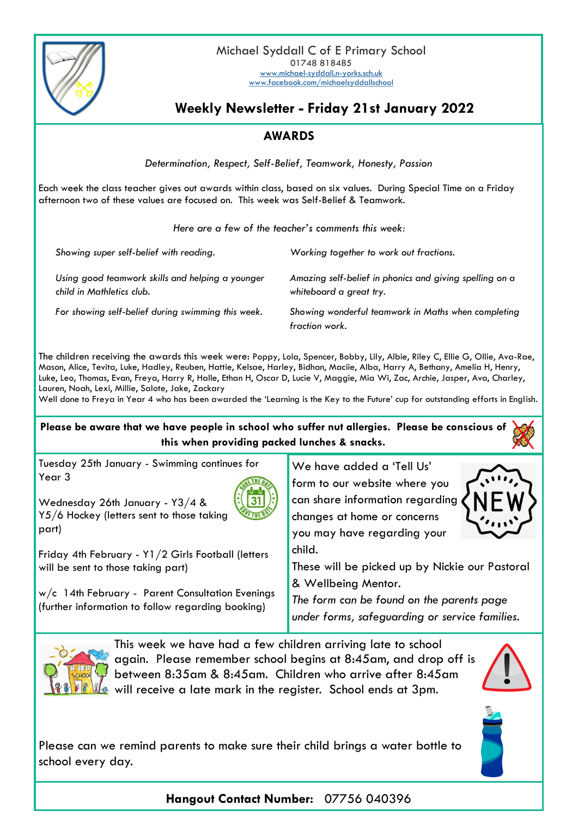

Michael Syddall C of E Primary School 01748 818485 [www.michael-syddall.n-yorks.sch.uk](http://www.michael-syddall.n-yorks.sch.uk) [www.facebook.com/michaelsyddallschool](http://www.facebook.com/michaelsyddallschool)

## **Weekly Newsletter - Friday 21st January 2022**

## **AWARDS**

*Determination, Respect, Self-Belief, Teamwork, Honesty, Passion*

Each week the class teacher gives out awards within class, based on six values. During Special Time on a Friday afternoon two of these values are focused on. This week was Self-Belief & Teamwork.

| Here are a few of the teacher's comments this week: |  |
|-----------------------------------------------------|--|
|-----------------------------------------------------|--|

| Showing super self-belief with reading.                                       | Working together to work out fractions.                                            |
|-------------------------------------------------------------------------------|------------------------------------------------------------------------------------|
| Using good teamwork skills and helping a younger<br>child in Mathletics club. | Amazing self-belief in phonics and giving spelling on a<br>whiteboard a great try. |
| For showing self-belief during swimming this week.                            | Showing wonderful teamwork in Maths when completing<br>fraction work.              |

The children receiving the awards this week were: Poppy, Lola, Spencer, Bobby, Lily, Albie, Riley C, Ellie G, Ollie, Ava-Rae, Mason, Alice, Tevita, Luke, Hadley, Reuben, Hattie, Kelsae, Harley, Bidhan, Maciie, Alba, Harry A, Bethany, Amelia H, Henry, Luke, Leo, Thomas, Evan, Freya, Harry R, Halle, Ethan H, Oscar D, Lucie V, Maggie, Mia Wi, Zac, Archie, Jasper, Ava, Charley, Lauren, Noah, Lexi, Millie, Salote, Jake, Zackary

Well done to Freya in Year 4 who has been awarded the 'Learning is the Key to the Future' cup for outstanding efforts in English.

## **Please be aware that we have people in school who suffer nut allergies. Please be conscious of this when providing packed lunches & snacks.**

Tuesday 25th January - Swimming continues for Year 3

Wednesday 26th January - Y3/4 & Y5/6 Hockey (letters sent to those taking part)

Friday 4th February - Y1/2 Girls Football (letters will be sent to those taking part)

w/c 14th February - Parent Consultation Evenings (further information to follow regarding booking)

We have added a 'Tell Us' form to our website where you can share information regarding changes at home or concerns you may have regarding your child.



These will be picked up by Nickie our Pastoral & Wellbeing Mentor.

*The form can be found on the parents page under forms, safeguarding or service families.*



This week we have had a few children arriving late to school again. Please remember school begins at 8:45am, and drop off is between 8:35am & 8:45am. Children who arrive after 8:45am will receive a late mark in the register. School ends at 3pm.





Please can we remind parents to make sure their child brings a water bottle to school every day.

**Hangout Contact Number:** 07756 040396